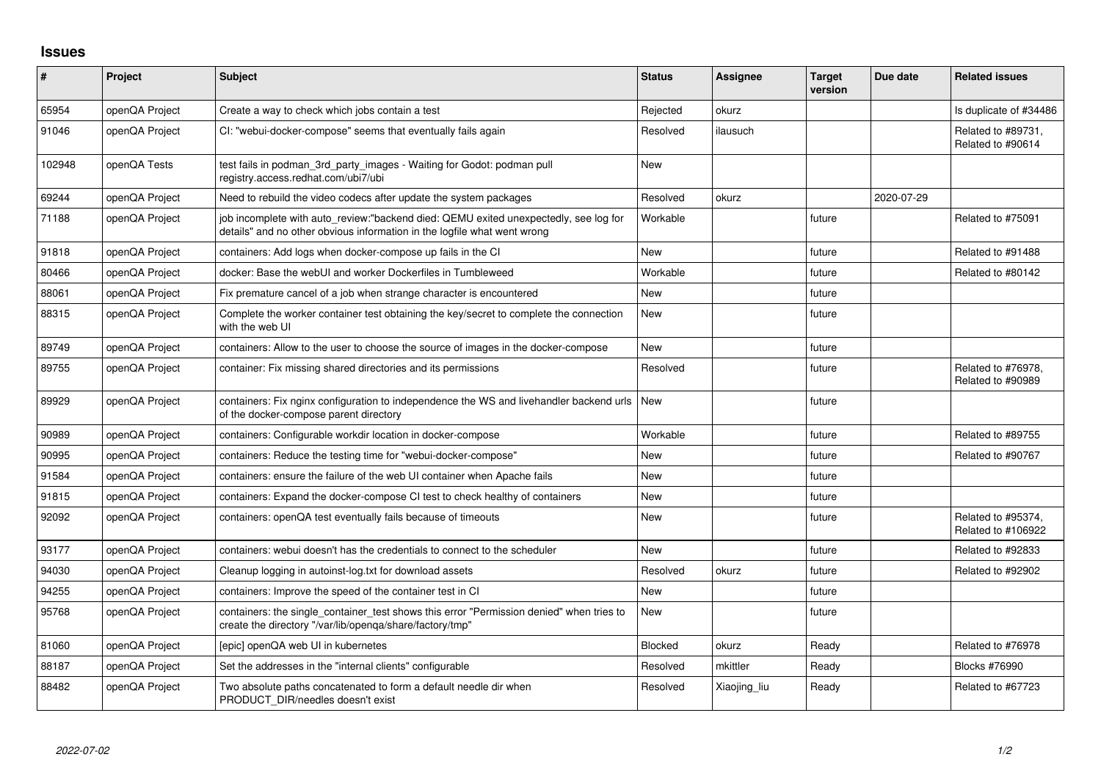## **Issues**

| #      | Project        | <b>Subject</b>                                                                                                                                                   | <b>Status</b> | <b>Assignee</b> | <b>Target</b><br>version | Due date   | <b>Related issues</b>                    |
|--------|----------------|------------------------------------------------------------------------------------------------------------------------------------------------------------------|---------------|-----------------|--------------------------|------------|------------------------------------------|
| 65954  | openQA Project | Create a way to check which jobs contain a test                                                                                                                  | Rejected      | okurz           |                          |            | Is duplicate of #34486                   |
| 91046  | openQA Project | CI: "webui-docker-compose" seems that eventually fails again                                                                                                     | Resolved      | ilausuch        |                          |            | Related to #89731,<br>Related to #90614  |
| 102948 | openQA Tests   | test fails in podman_3rd_party_images - Waiting for Godot: podman pull<br>registry.access.redhat.com/ubi7/ubi                                                    | <b>New</b>    |                 |                          |            |                                          |
| 69244  | openQA Project | Need to rebuild the video codecs after update the system packages                                                                                                | Resolved      | okurz           |                          | 2020-07-29 |                                          |
| 71188  | openQA Project | job incomplete with auto_review:"backend died: QEMU exited unexpectedly, see log for<br>details" and no other obvious information in the logfile what went wrong | Workable      |                 | future                   |            | Related to #75091                        |
| 91818  | openQA Project | containers: Add logs when docker-compose up fails in the CI                                                                                                      | <b>New</b>    |                 | future                   |            | Related to #91488                        |
| 80466  | openQA Project | docker: Base the webUI and worker Dockerfiles in Tumbleweed                                                                                                      | Workable      |                 | future                   |            | Related to #80142                        |
| 88061  | openQA Project | Fix premature cancel of a job when strange character is encountered                                                                                              | <b>New</b>    |                 | future                   |            |                                          |
| 88315  | openQA Project | Complete the worker container test obtaining the key/secret to complete the connection<br>with the web UI                                                        | <b>New</b>    |                 | future                   |            |                                          |
| 89749  | openQA Project | containers: Allow to the user to choose the source of images in the docker-compose                                                                               | <b>New</b>    |                 | future                   |            |                                          |
| 89755  | openQA Project | container: Fix missing shared directories and its permissions                                                                                                    | Resolved      |                 | future                   |            | Related to #76978,<br>Related to #90989  |
| 89929  | openQA Project | containers: Fix nginx configuration to independence the WS and livehandler backend urls<br>of the docker-compose parent directory                                | <b>New</b>    |                 | future                   |            |                                          |
| 90989  | openQA Project | containers: Configurable workdir location in docker-compose                                                                                                      | Workable      |                 | future                   |            | Related to #89755                        |
| 90995  | openQA Project | containers: Reduce the testing time for "webui-docker-compose"                                                                                                   | <b>New</b>    |                 | future                   |            | Related to #90767                        |
| 91584  | openQA Project | containers: ensure the failure of the web UI container when Apache fails                                                                                         | <b>New</b>    |                 | future                   |            |                                          |
| 91815  | openQA Project | containers: Expand the docker-compose CI test to check healthy of containers                                                                                     | <b>New</b>    |                 | future                   |            |                                          |
| 92092  | openQA Project | containers: openQA test eventually fails because of timeouts                                                                                                     | New           |                 | future                   |            | Related to #95374,<br>Related to #106922 |
| 93177  | openQA Project | containers: webui doesn't has the credentials to connect to the scheduler                                                                                        | <b>New</b>    |                 | future                   |            | Related to #92833                        |
| 94030  | openQA Project | Cleanup logging in autoinst-log.txt for download assets                                                                                                          | Resolved      | okurz           | future                   |            | Related to #92902                        |
| 94255  | openQA Project | containers: Improve the speed of the container test in CI                                                                                                        | <b>New</b>    |                 | future                   |            |                                          |
| 95768  | openQA Project | containers: the single_container_test shows this error "Permission denied" when tries to<br>create the directory "/var/lib/openqa/share/factory/tmp"             | <b>New</b>    |                 | future                   |            |                                          |
| 81060  | openQA Project | [epic] openQA web UI in kubernetes                                                                                                                               | Blocked       | okurz           | Ready                    |            | Related to #76978                        |
| 88187  | openQA Project | Set the addresses in the "internal clients" configurable                                                                                                         | Resolved      | mkittler        | Ready                    |            | <b>Blocks #76990</b>                     |
| 88482  | openQA Project | Two absolute paths concatenated to form a default needle dir when<br>PRODUCT DIR/needles doesn't exist                                                           | Resolved      | Xiaojing liu    | Ready                    |            | Related to #67723                        |